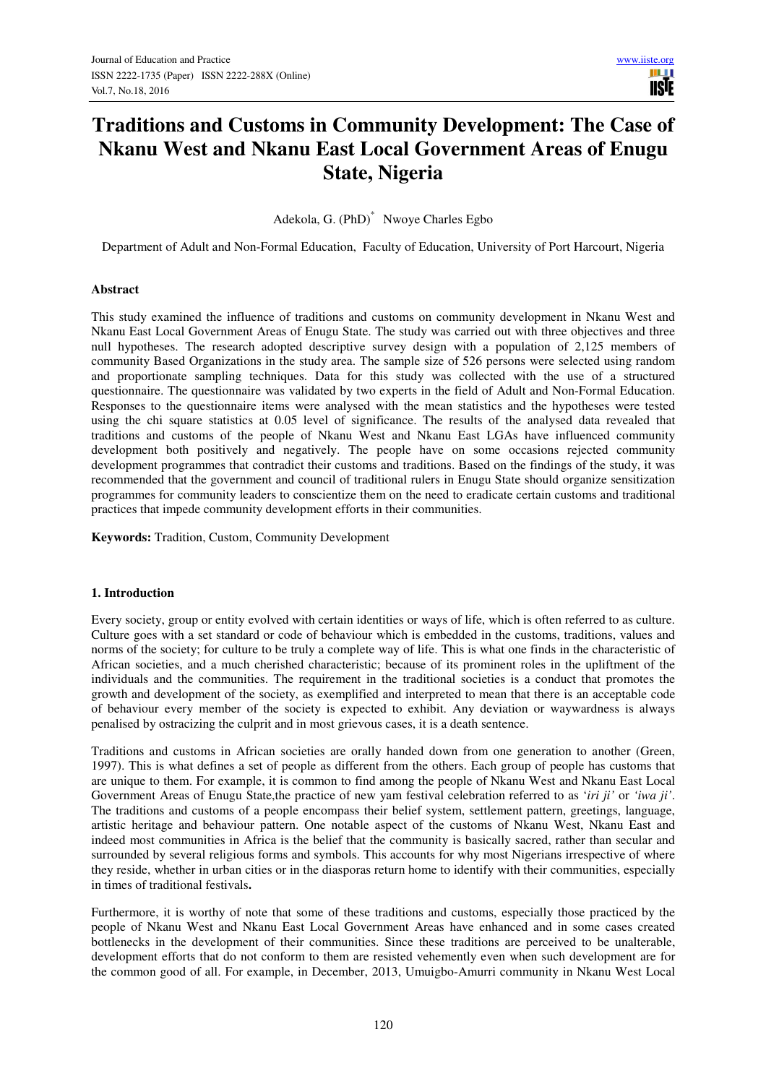H **TISTE** 

# **Traditions and Customs in Community Development: The Case of Nkanu West and Nkanu East Local Government Areas of Enugu State, Nigeria**

Adekola, G. (PhD)\* Nwoye Charles Egbo

Department of Adult and Non-Formal Education, Faculty of Education, University of Port Harcourt, Nigeria

# **Abstract**

This study examined the influence of traditions and customs on community development in Nkanu West and Nkanu East Local Government Areas of Enugu State. The study was carried out with three objectives and three null hypotheses. The research adopted descriptive survey design with a population of 2,125 members of community Based Organizations in the study area. The sample size of 526 persons were selected using random and proportionate sampling techniques. Data for this study was collected with the use of a structured questionnaire. The questionnaire was validated by two experts in the field of Adult and Non-Formal Education. Responses to the questionnaire items were analysed with the mean statistics and the hypotheses were tested using the chi square statistics at 0.05 level of significance. The results of the analysed data revealed that traditions and customs of the people of Nkanu West and Nkanu East LGAs have influenced community development both positively and negatively. The people have on some occasions rejected community development programmes that contradict their customs and traditions. Based on the findings of the study, it was recommended that the government and council of traditional rulers in Enugu State should organize sensitization programmes for community leaders to conscientize them on the need to eradicate certain customs and traditional practices that impede community development efforts in their communities.

**Keywords:** Tradition, Custom, Community Development

#### **1. Introduction**

Every society, group or entity evolved with certain identities or ways of life, which is often referred to as culture. Culture goes with a set standard or code of behaviour which is embedded in the customs, traditions, values and norms of the society; for culture to be truly a complete way of life. This is what one finds in the characteristic of African societies, and a much cherished characteristic; because of its prominent roles in the upliftment of the individuals and the communities. The requirement in the traditional societies is a conduct that promotes the growth and development of the society, as exemplified and interpreted to mean that there is an acceptable code of behaviour every member of the society is expected to exhibit. Any deviation or waywardness is always penalised by ostracizing the culprit and in most grievous cases, it is a death sentence.

Traditions and customs in African societies are orally handed down from one generation to another (Green, 1997). This is what defines a set of people as different from the others. Each group of people has customs that are unique to them. For example, it is common to find among the people of Nkanu West and Nkanu East Local Government Areas of Enugu State,the practice of new yam festival celebration referred to as '*iri ji'* or *'iwa ji'*. The traditions and customs of a people encompass their belief system, settlement pattern, greetings, language, artistic heritage and behaviour pattern. One notable aspect of the customs of Nkanu West, Nkanu East and indeed most communities in Africa is the belief that the community is basically sacred, rather than secular and surrounded by several religious forms and symbols. This accounts for why most Nigerians irrespective of where they reside, whether in urban cities or in the diasporas return home to identify with their communities, especially in times of traditional festivals**.**

Furthermore, it is worthy of note that some of these traditions and customs, especially those practiced by the people of Nkanu West and Nkanu East Local Government Areas have enhanced and in some cases created bottlenecks in the development of their communities. Since these traditions are perceived to be unalterable, development efforts that do not conform to them are resisted vehemently even when such development are for the common good of all. For example, in December, 2013, Umuigbo-Amurri community in Nkanu West Local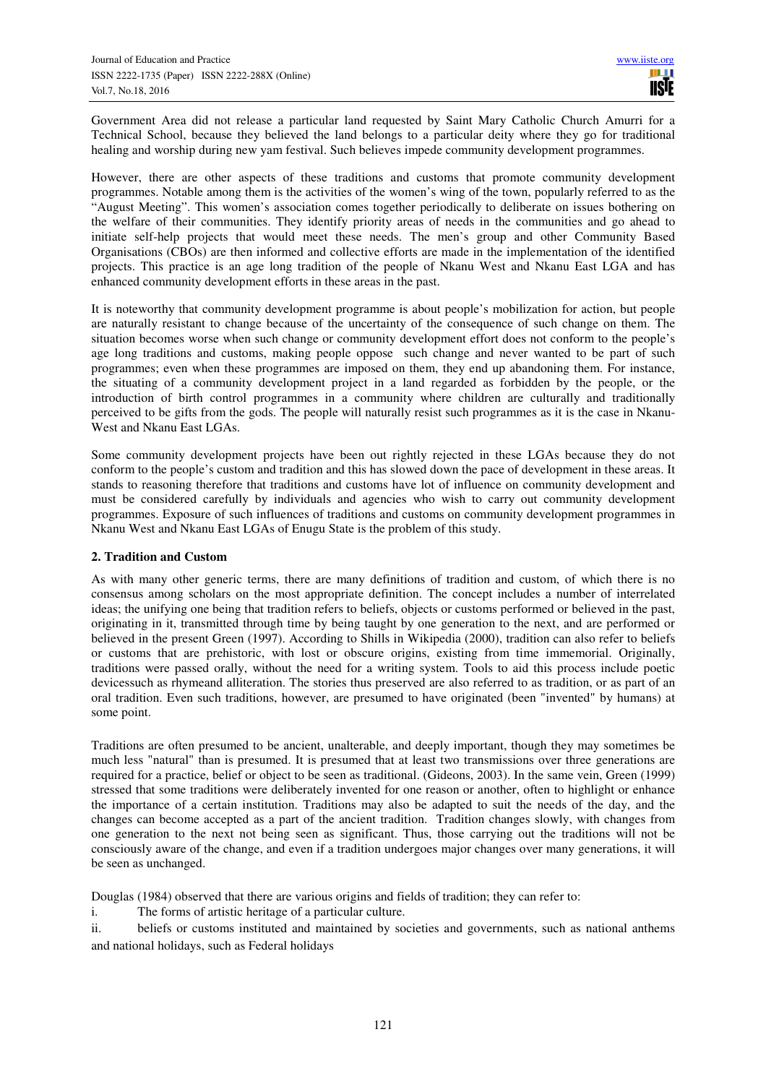Government Area did not release a particular land requested by Saint Mary Catholic Church Amurri for a Technical School, because they believed the land belongs to a particular deity where they go for traditional healing and worship during new yam festival. Such believes impede community development programmes.

However, there are other aspects of these traditions and customs that promote community development programmes. Notable among them is the activities of the women's wing of the town, popularly referred to as the "August Meeting". This women's association comes together periodically to deliberate on issues bothering on the welfare of their communities. They identify priority areas of needs in the communities and go ahead to initiate self-help projects that would meet these needs. The men's group and other Community Based Organisations (CBOs) are then informed and collective efforts are made in the implementation of the identified projects. This practice is an age long tradition of the people of Nkanu West and Nkanu East LGA and has enhanced community development efforts in these areas in the past.

It is noteworthy that community development programme is about people's mobilization for action, but people are naturally resistant to change because of the uncertainty of the consequence of such change on them. The situation becomes worse when such change or community development effort does not conform to the people's age long traditions and customs, making people oppose such change and never wanted to be part of such programmes; even when these programmes are imposed on them, they end up abandoning them. For instance, the situating of a community development project in a land regarded as forbidden by the people, or the introduction of birth control programmes in a community where children are culturally and traditionally perceived to be gifts from the gods. The people will naturally resist such programmes as it is the case in Nkanu-West and Nkanu East LGAs.

Some community development projects have been out rightly rejected in these LGAs because they do not conform to the people's custom and tradition and this has slowed down the pace of development in these areas. It stands to reasoning therefore that traditions and customs have lot of influence on community development and must be considered carefully by individuals and agencies who wish to carry out community development programmes. Exposure of such influences of traditions and customs on community development programmes in Nkanu West and Nkanu East LGAs of Enugu State is the problem of this study.

# **2. Tradition and Custom**

As with many other generic terms, there are many definitions of tradition and custom, of which there is no consensus among scholars on the most appropriate definition. The concept includes a number of interrelated ideas; the unifying one being that tradition refers to beliefs, objects or customs performed or believed in the past, originating in it, transmitted through time by being taught by one generation to the next, and are performed or believed in the present Green (1997). According to Shills in Wikipedia (2000), tradition can also refer to beliefs or customs that are prehistoric, with lost or obscure origins, existing from time immemorial. Originally, traditions were passed orally, without the need for a writing system. Tools to aid this process include poetic devicessuch as rhymeand alliteration. The stories thus preserved are also referred to as tradition, or as part of an oral tradition. Even such traditions, however, are presumed to have originated (been "invented" by humans) at some point.

Traditions are often presumed to be ancient, unalterable, and deeply important, though they may sometimes be much less "natural" than is presumed. It is presumed that at least two transmissions over three generations are required for a practice, belief or object to be seen as traditional. (Gideons, 2003). In the same vein, Green (1999) stressed that some traditions were deliberately invented for one reason or another, often to highlight or enhance the importance of a certain institution. Traditions may also be adapted to suit the needs of the day, and the changes can become accepted as a part of the ancient tradition. Tradition changes slowly, with changes from one generation to the next not being seen as significant. Thus, those carrying out the traditions will not be consciously aware of the change, and even if a tradition undergoes major changes over many generations, it will be seen as unchanged.

Douglas (1984) observed that there are various origins and fields of tradition; they can refer to:

i. The forms of artistic heritage of a particular culture.

ii. beliefs or customs instituted and maintained by societies and governments, such as national anthems and national holidays, such as Federal holidays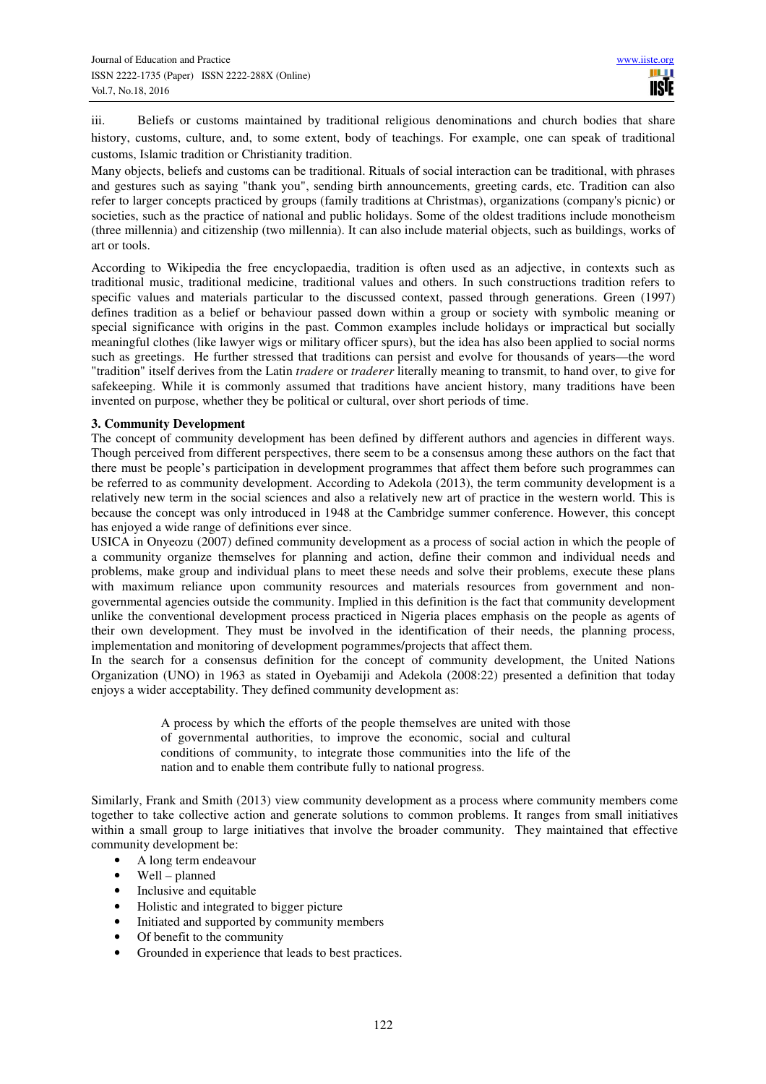iii. Beliefs or customs maintained by traditional religious denominations and church bodies that share history, customs, culture, and, to some extent, body of teachings. For example, one can speak of traditional customs, Islamic tradition or Christianity tradition.

Many objects, beliefs and customs can be traditional. Rituals of social interaction can be traditional, with phrases and gestures such as saying "thank you", sending birth announcements, greeting cards, etc. Tradition can also refer to larger concepts practiced by groups (family traditions at Christmas), organizations (company's picnic) or societies, such as the practice of national and public holidays. Some of the oldest traditions include monotheism (three millennia) and citizenship (two millennia). It can also include material objects, such as buildings, works of art or tools.

According to Wikipedia the free encyclopaedia, tradition is often used as an adjective, in contexts such as traditional music, traditional medicine, traditional values and others. In such constructions tradition refers to specific values and materials particular to the discussed context, passed through generations. Green (1997) defines tradition as a belief or behaviour passed down within a group or society with symbolic meaning or special significance with origins in the past. Common examples include holidays or impractical but socially meaningful clothes (like lawyer wigs or military officer spurs), but the idea has also been applied to social norms such as greetings. He further stressed that traditions can persist and evolve for thousands of years—the word "tradition" itself derives from the Latin *tradere* or *traderer* literally meaning to transmit, to hand over, to give for safekeeping. While it is commonly assumed that traditions have ancient history, many traditions have been invented on purpose, whether they be political or cultural, over short periods of time.

# **3. Community Development**

The concept of community development has been defined by different authors and agencies in different ways. Though perceived from different perspectives, there seem to be a consensus among these authors on the fact that there must be people's participation in development programmes that affect them before such programmes can be referred to as community development. According to Adekola (2013), the term community development is a relatively new term in the social sciences and also a relatively new art of practice in the western world. This is because the concept was only introduced in 1948 at the Cambridge summer conference. However, this concept has enjoyed a wide range of definitions ever since.

USICA in Onyeozu (2007) defined community development as a process of social action in which the people of a community organize themselves for planning and action, define their common and individual needs and problems, make group and individual plans to meet these needs and solve their problems, execute these plans with maximum reliance upon community resources and materials resources from government and nongovernmental agencies outside the community. Implied in this definition is the fact that community development unlike the conventional development process practiced in Nigeria places emphasis on the people as agents of their own development. They must be involved in the identification of their needs, the planning process, implementation and monitoring of development pogrammes/projects that affect them.

In the search for a consensus definition for the concept of community development, the United Nations Organization (UNO) in 1963 as stated in Oyebamiji and Adekola (2008:22) presented a definition that today enjoys a wider acceptability. They defined community development as:

> A process by which the efforts of the people themselves are united with those of governmental authorities, to improve the economic, social and cultural conditions of community, to integrate those communities into the life of the nation and to enable them contribute fully to national progress.

Similarly, Frank and Smith (2013) view community development as a process where community members come together to take collective action and generate solutions to common problems. It ranges from small initiatives within a small group to large initiatives that involve the broader community. They maintained that effective community development be:

- A long term endeavour
- Well planned
- Inclusive and equitable
- Holistic and integrated to bigger picture
- Initiated and supported by community members
- Of benefit to the community
- Grounded in experience that leads to best practices.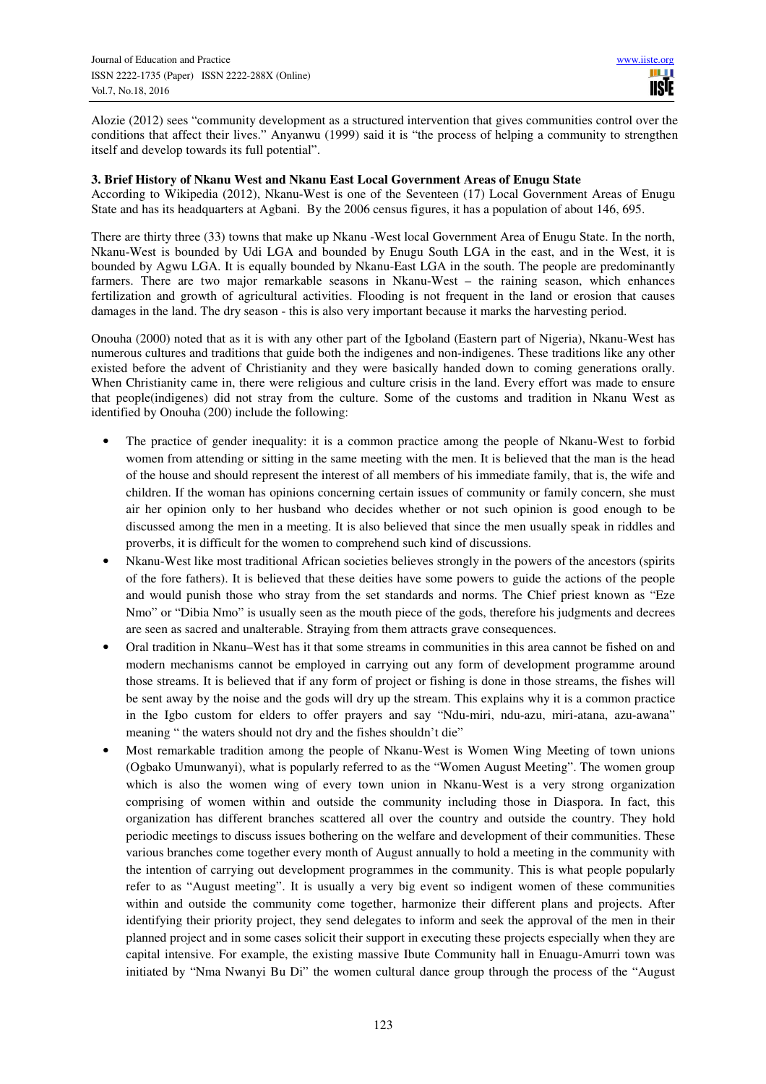Alozie (2012) sees "community development as a structured intervention that gives communities control over the conditions that affect their lives." Anyanwu (1999) said it is "the process of helping a community to strengthen itself and develop towards its full potential".

### **3. Brief History of Nkanu West and Nkanu East Local Government Areas of Enugu State**

According to Wikipedia (2012), Nkanu-West is one of the Seventeen (17) Local Government Areas of Enugu State and has its headquarters at Agbani. By the 2006 census figures, it has a population of about 146, 695.

There are thirty three (33) towns that make up Nkanu -West local Government Area of Enugu State. In the north, Nkanu-West is bounded by Udi LGA and bounded by Enugu South LGA in the east, and in the West, it is bounded by Agwu LGA. It is equally bounded by Nkanu-East LGA in the south. The people are predominantly farmers. There are two major remarkable seasons in Nkanu-West – the raining season, which enhances fertilization and growth of agricultural activities. Flooding is not frequent in the land or erosion that causes damages in the land. The dry season - this is also very important because it marks the harvesting period.

Onouha (2000) noted that as it is with any other part of the Igboland (Eastern part of Nigeria), Nkanu-West has numerous cultures and traditions that guide both the indigenes and non-indigenes. These traditions like any other existed before the advent of Christianity and they were basically handed down to coming generations orally. When Christianity came in, there were religious and culture crisis in the land. Every effort was made to ensure that people(indigenes) did not stray from the culture. Some of the customs and tradition in Nkanu West as identified by Onouha (200) include the following:

- The practice of gender inequality: it is a common practice among the people of Nkanu-West to forbid women from attending or sitting in the same meeting with the men. It is believed that the man is the head of the house and should represent the interest of all members of his immediate family, that is, the wife and children. If the woman has opinions concerning certain issues of community or family concern, she must air her opinion only to her husband who decides whether or not such opinion is good enough to be discussed among the men in a meeting. It is also believed that since the men usually speak in riddles and proverbs, it is difficult for the women to comprehend such kind of discussions.
- Nkanu-West like most traditional African societies believes strongly in the powers of the ancestors (spirits of the fore fathers). It is believed that these deities have some powers to guide the actions of the people and would punish those who stray from the set standards and norms. The Chief priest known as "Eze Nmo" or "Dibia Nmo" is usually seen as the mouth piece of the gods, therefore his judgments and decrees are seen as sacred and unalterable. Straying from them attracts grave consequences.
- Oral tradition in Nkanu–West has it that some streams in communities in this area cannot be fished on and modern mechanisms cannot be employed in carrying out any form of development programme around those streams. It is believed that if any form of project or fishing is done in those streams, the fishes will be sent away by the noise and the gods will dry up the stream. This explains why it is a common practice in the Igbo custom for elders to offer prayers and say "Ndu-miri, ndu-azu, miri-atana, azu-awana" meaning " the waters should not dry and the fishes shouldn't die"
- Most remarkable tradition among the people of Nkanu-West is Women Wing Meeting of town unions (Ogbako Umunwanyi), what is popularly referred to as the "Women August Meeting". The women group which is also the women wing of every town union in Nkanu-West is a very strong organization comprising of women within and outside the community including those in Diaspora. In fact, this organization has different branches scattered all over the country and outside the country. They hold periodic meetings to discuss issues bothering on the welfare and development of their communities. These various branches come together every month of August annually to hold a meeting in the community with the intention of carrying out development programmes in the community. This is what people popularly refer to as "August meeting". It is usually a very big event so indigent women of these communities within and outside the community come together, harmonize their different plans and projects. After identifying their priority project, they send delegates to inform and seek the approval of the men in their planned project and in some cases solicit their support in executing these projects especially when they are capital intensive. For example, the existing massive Ibute Community hall in Enuagu-Amurri town was initiated by "Nma Nwanyi Bu Di" the women cultural dance group through the process of the "August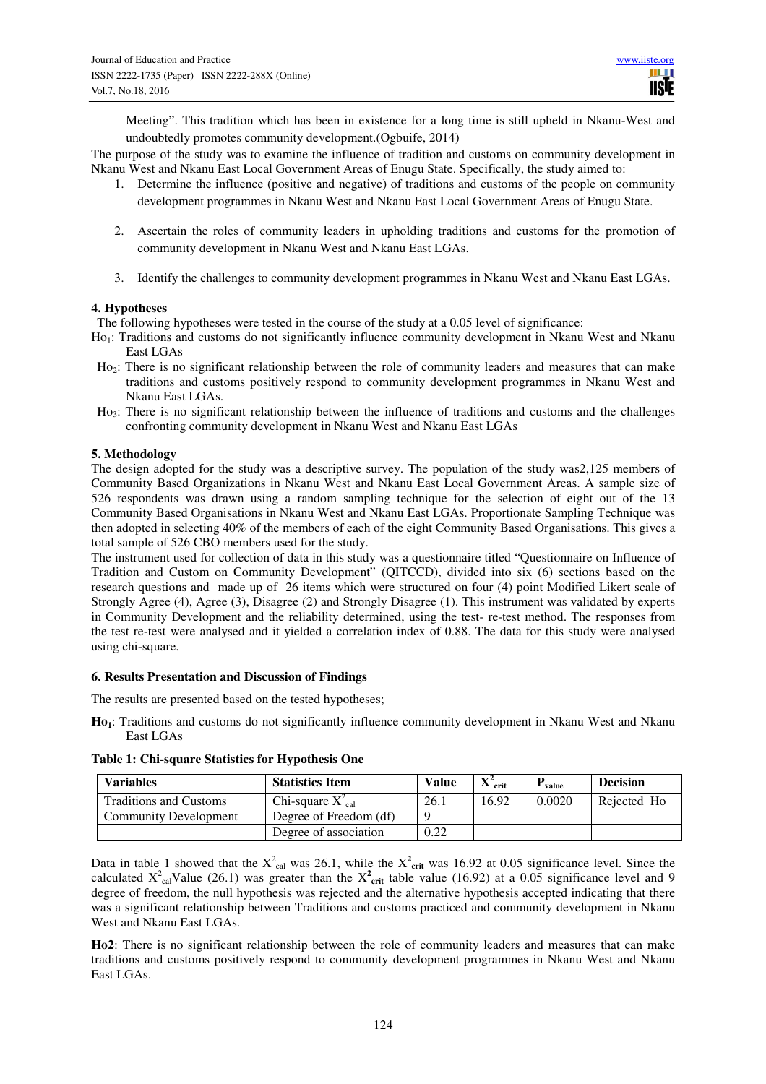Meeting". This tradition which has been in existence for a long time is still upheld in Nkanu-West and undoubtedly promotes community development.(Ogbuife, 2014)

The purpose of the study was to examine the influence of tradition and customs on community development in Nkanu West and Nkanu East Local Government Areas of Enugu State. Specifically, the study aimed to:

- 1. Determine the influence (positive and negative) of traditions and customs of the people on community development programmes in Nkanu West and Nkanu East Local Government Areas of Enugu State.
- 2. Ascertain the roles of community leaders in upholding traditions and customs for the promotion of community development in Nkanu West and Nkanu East LGAs.
- 3. Identify the challenges to community development programmes in Nkanu West and Nkanu East LGAs.

# **4. Hypotheses**

The following hypotheses were tested in the course of the study at a 0.05 level of significance:

- Ho<sub>1</sub>: Traditions and customs do not significantly influence community development in Nkanu West and Nkanu East LGAs
- Ho<sub>2</sub>: There is no significant relationship between the role of community leaders and measures that can make traditions and customs positively respond to community development programmes in Nkanu West and Nkanu East LGAs.
- Ho<sub>3</sub>: There is no significant relationship between the influence of traditions and customs and the challenges confronting community development in Nkanu West and Nkanu East LGAs

# **5. Methodology**

The design adopted for the study was a descriptive survey. The population of the study was2,125 members of Community Based Organizations in Nkanu West and Nkanu East Local Government Areas. A sample size of 526 respondents was drawn using a random sampling technique for the selection of eight out of the 13 Community Based Organisations in Nkanu West and Nkanu East LGAs. Proportionate Sampling Technique was then adopted in selecting 40% of the members of each of the eight Community Based Organisations. This gives a total sample of 526 CBO members used for the study.

The instrument used for collection of data in this study was a questionnaire titled "Questionnaire on Influence of Tradition and Custom on Community Development" (QITCCD), divided into six (6) sections based on the research questions and made up of 26 items which were structured on four (4) point Modified Likert scale of Strongly Agree (4), Agree (3), Disagree (2) and Strongly Disagree (1). This instrument was validated by experts in Community Development and the reliability determined, using the test- re-test method. The responses from the test re-test were analysed and it yielded a correlation index of 0.88. The data for this study were analysed using chi-square.

#### **6. Results Presentation and Discussion of Findings**

The results are presented based on the tested hypotheses;

**Ho1**: Traditions and customs do not significantly influence community development in Nkanu West and Nkanu East LGAs

| <b>Variables</b>              | <b>Statistics Item</b>        | Value | $\mathbf{v}$<br>crit<br>A | value  | <b>Decision</b> |
|-------------------------------|-------------------------------|-------|---------------------------|--------|-----------------|
| <b>Traditions and Customs</b> | Chi-square $X_{\text{cal}}^2$ | 26.1  | 16.92                     | 0.0020 | Rejected Ho     |
| Community Development         | Degree of Freedom (df)        |       |                           |        |                 |
|                               | Degree of association         | 0.22  |                           |        |                 |

**Table 1: Chi-square Statistics for Hypothesis One**

Data in table 1 showed that the  $X^2_{cal}$  was 26.1, while the  $X^2_{\text{crit}}$  was 16.92 at 0.05 significance level. Since the calculated  $X^2$ <sub>cal</sub>Value (26.1) was greater than the  $X^2$ <sub>crit</sub> table value (16.92) at a 0.05 significance level and 9 degree of freedom, the null hypothesis was rejected and the alternative hypothesis accepted indicating that there was a significant relationship between Traditions and customs practiced and community development in Nkanu West and Nkanu East LGAs.

**Ho2**: There is no significant relationship between the role of community leaders and measures that can make traditions and customs positively respond to community development programmes in Nkanu West and Nkanu East LGAs.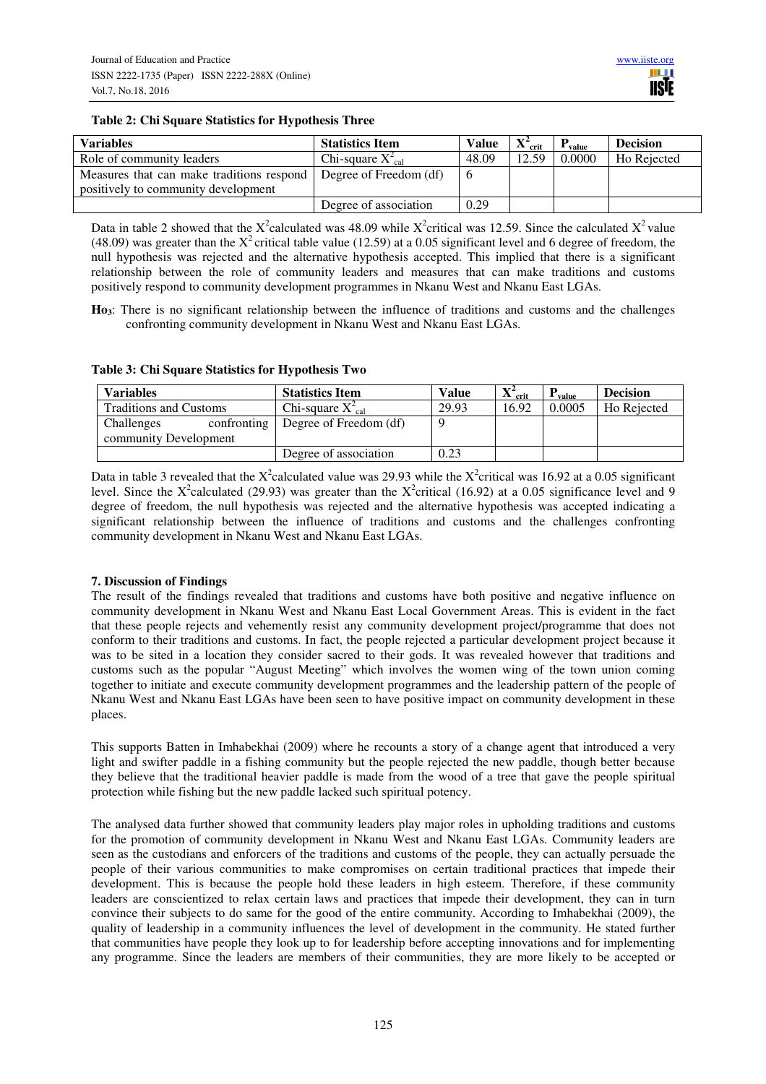### **Table 2: Chi Square Statistics for Hypothesis Three**

| <b>Variables</b>                                                   | <b>Statistics Item</b>        | <b>Value</b> | $\Lambda$ crit | value  | <b>Decision</b> |
|--------------------------------------------------------------------|-------------------------------|--------------|----------------|--------|-----------------|
| Role of community leaders                                          | Chi-square $X^2_{\text{cal}}$ | 48.09        | 12.59          | 0.0000 | Ho Rejected     |
| Measures that can make traditions respond   Degree of Freedom (df) |                               |              |                |        |                 |
| positively to community development                                |                               |              |                |        |                 |
|                                                                    | Degree of association         | 0.29         |                |        |                 |

Data in table 2 showed that the X<sup>2</sup>calculated was 48.09 while X<sup>2</sup>critical was 12.59. Since the calculated X<sup>2</sup> value (48.09) was greater than the  $X^2$  critical table value (12.59) at a 0.05 significant level and 6 degree of freedom, the null hypothesis was rejected and the alternative hypothesis accepted. This implied that there is a significant relationship between the role of community leaders and measures that can make traditions and customs positively respond to community development programmes in Nkanu West and Nkanu East LGAs.

**Ho3**: There is no significant relationship between the influence of traditions and customs and the challenges confronting community development in Nkanu West and Nkanu East LGAs.

| Variables                     |             | <b>Statistics Item</b>        | Value | $\mathbf{v}^2$<br>crit<br>41. | value  | <b>Decision</b> |
|-------------------------------|-------------|-------------------------------|-------|-------------------------------|--------|-----------------|
| <b>Traditions and Customs</b> |             | Chi-square $X_{\text{cal}}^2$ | 29.93 | 16.92                         | 0.0005 | Ho Rejected     |
| Challenges                    | confronting | Degree of Freedom (df)        |       |                               |        |                 |
| community Development         |             |                               |       |                               |        |                 |
|                               |             | Degree of association         | 0.23  |                               |        |                 |

Data in table 3 revealed that the X<sup>2</sup>calculated value was 29.93 while the X<sup>2</sup>critical was 16.92 at a 0.05 significant level. Since the X<sup>2</sup>calculated (29.93) was greater than the X<sup>2</sup>critical (16.92) at a 0.05 significance level and 9 degree of freedom, the null hypothesis was rejected and the alternative hypothesis was accepted indicating a significant relationship between the influence of traditions and customs and the challenges confronting community development in Nkanu West and Nkanu East LGAs.

# **7. Discussion of Findings**

The result of the findings revealed that traditions and customs have both positive and negative influence on community development in Nkanu West and Nkanu East Local Government Areas. This is evident in the fact that these people rejects and vehemently resist any community development project/programme that does not conform to their traditions and customs. In fact, the people rejected a particular development project because it was to be sited in a location they consider sacred to their gods. It was revealed however that traditions and customs such as the popular "August Meeting" which involves the women wing of the town union coming together to initiate and execute community development programmes and the leadership pattern of the people of Nkanu West and Nkanu East LGAs have been seen to have positive impact on community development in these places.

This supports Batten in Imhabekhai (2009) where he recounts a story of a change agent that introduced a very light and swifter paddle in a fishing community but the people rejected the new paddle, though better because they believe that the traditional heavier paddle is made from the wood of a tree that gave the people spiritual protection while fishing but the new paddle lacked such spiritual potency.

The analysed data further showed that community leaders play major roles in upholding traditions and customs for the promotion of community development in Nkanu West and Nkanu East LGAs. Community leaders are seen as the custodians and enforcers of the traditions and customs of the people, they can actually persuade the people of their various communities to make compromises on certain traditional practices that impede their development. This is because the people hold these leaders in high esteem. Therefore, if these community leaders are conscientized to relax certain laws and practices that impede their development, they can in turn convince their subjects to do same for the good of the entire community. According to Imhabekhai (2009), the quality of leadership in a community influences the level of development in the community. He stated further that communities have people they look up to for leadership before accepting innovations and for implementing any programme. Since the leaders are members of their communities, they are more likely to be accepted or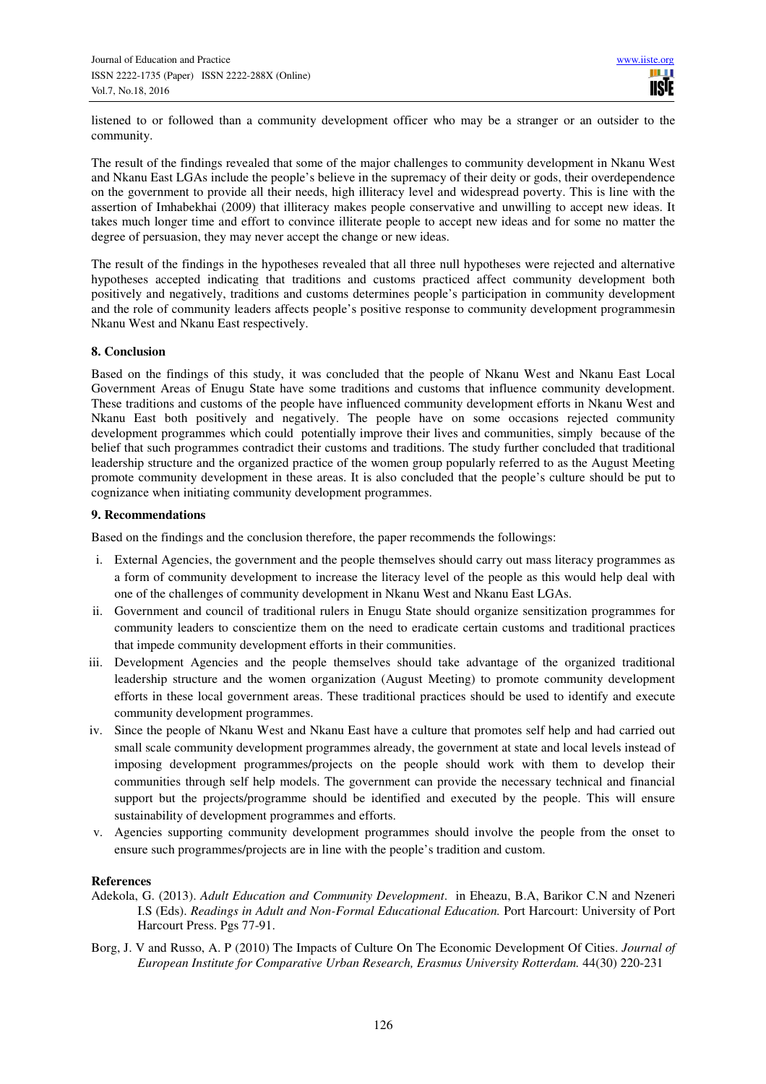listened to or followed than a community development officer who may be a stranger or an outsider to the community.

The result of the findings revealed that some of the major challenges to community development in Nkanu West and Nkanu East LGAs include the people's believe in the supremacy of their deity or gods, their overdependence on the government to provide all their needs, high illiteracy level and widespread poverty. This is line with the assertion of Imhabekhai (2009) that illiteracy makes people conservative and unwilling to accept new ideas. It takes much longer time and effort to convince illiterate people to accept new ideas and for some no matter the degree of persuasion, they may never accept the change or new ideas.

The result of the findings in the hypotheses revealed that all three null hypotheses were rejected and alternative hypotheses accepted indicating that traditions and customs practiced affect community development both positively and negatively, traditions and customs determines people's participation in community development and the role of community leaders affects people's positive response to community development programmesin Nkanu West and Nkanu East respectively.

#### **8. Conclusion**

Based on the findings of this study, it was concluded that the people of Nkanu West and Nkanu East Local Government Areas of Enugu State have some traditions and customs that influence community development. These traditions and customs of the people have influenced community development efforts in Nkanu West and Nkanu East both positively and negatively. The people have on some occasions rejected community development programmes which could potentially improve their lives and communities, simply because of the belief that such programmes contradict their customs and traditions. The study further concluded that traditional leadership structure and the organized practice of the women group popularly referred to as the August Meeting promote community development in these areas. It is also concluded that the people's culture should be put to cognizance when initiating community development programmes.

#### **9. Recommendations**

Based on the findings and the conclusion therefore, the paper recommends the followings:

- i. External Agencies, the government and the people themselves should carry out mass literacy programmes as a form of community development to increase the literacy level of the people as this would help deal with one of the challenges of community development in Nkanu West and Nkanu East LGAs.
- ii. Government and council of traditional rulers in Enugu State should organize sensitization programmes for community leaders to conscientize them on the need to eradicate certain customs and traditional practices that impede community development efforts in their communities.
- iii. Development Agencies and the people themselves should take advantage of the organized traditional leadership structure and the women organization (August Meeting) to promote community development efforts in these local government areas. These traditional practices should be used to identify and execute community development programmes.
- iv. Since the people of Nkanu West and Nkanu East have a culture that promotes self help and had carried out small scale community development programmes already, the government at state and local levels instead of imposing development programmes/projects on the people should work with them to develop their communities through self help models. The government can provide the necessary technical and financial support but the projects/programme should be identified and executed by the people. This will ensure sustainability of development programmes and efforts.
- v. Agencies supporting community development programmes should involve the people from the onset to ensure such programmes/projects are in line with the people's tradition and custom.

#### **References**

- Adekola, G. (2013). *Adult Education and Community Development*. in Eheazu, B.A, Barikor C.N and Nzeneri I.S (Eds). *Readings in Adult and Non-Formal Educational Education.* Port Harcourt: University of Port Harcourt Press. Pgs 77-91.
- Borg, J. V and Russo, A. P (2010) The Impacts of Culture On The Economic Development Of Cities. *Journal of European Institute for Comparative Urban Research, Erasmus University Rotterdam.* 44(30) 220-231